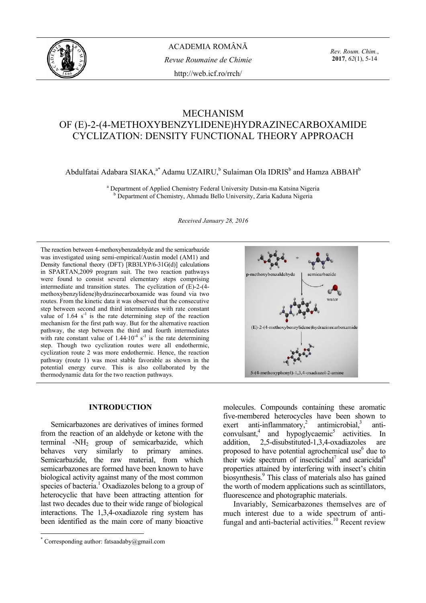

*Rev. Roum. Chim.*, **2017**, *62*(1), 5-14

# MECHANISM OF (E)-2-(4-METHOXYBENZYLIDENE)HYDRAZINECARBOXAMIDE CYCLIZATION: DENSITY FUNCTIONAL THEORY APPROACH

Abdulfatai Adabara SIAKA,  $a^*$  Adamu UZAIRU,  $b$  Sulaiman Ola IDRIS $^b$  and Hamza ABBAH $^b$ 

<sup>a</sup> Department of Applied Chemistry Federal University Dutsin-ma Katsina Nigeria **b** Department of Chemistry, Ahmadu Bello University, Zaria Kaduna Nigeria

*Received January 28, 2016* 

The reaction between 4-methoxybenzadehyde and the semicarbazide was investigated using semi-empirical/Austin model (AM1) and Density functional theory (DFT) [RB3LYP/6-31G(d)] calculations in SPARTAN,2009 program suit. The two reaction pathways were found to consist several elementary steps comprising intermediate and transition states. The cyclization of (E)-2-(4 methoxybenzylidene)hydrazinecarboxamide was found via two routes. From the kinetic data it was observed that the consecutive step between second and third intermediates with rate constant value of  $1.64 \text{ s}^{-1}$  is the rate determining step of the reaction mechanism for the first path way. But for the alternative reaction pathway, the step between the third and fourth intermediates with rate constant value of  $1.44 \cdot 10^{-4}$  s<sup>-1</sup> is the rate determining step. Though two cyclization routes were all endothermic, cyclization route 2 was more endothermic. Hence, the reaction pathway (route 1) was most stable favorable as shown in the potential energy curve. This is also collaborated by the thermodynamic data for the two reaction pathways.

## **INTRODUCTION**

Semicarbazones are derivatives of imines formed from the reaction of an aldehyde or ketone with the terminal -NH2 group of semicarbazide, which behaves very similarly to primary amines. Semicarbazide, the raw material, from which semicarbazones are formed have been known to have biological activity against many of the most common species of bacteria.<sup>1</sup> Oxadiazoles belong to a group of heterocyclic that have been attracting attention for last two decades due to their wide range of biological interactions. The 1,3,4-oxadiazole ring system has been identified as the main core of many bioactive

 $\overline{a}$ 



molecules. Compounds containing these aromatic five-membered heterocycles have been shown to  $exert$  anti-inflammatory,<sup>2</sup> antimicrobial,<sup>3</sup> anti $convulsant<sup>4</sup>$  and hypoglycaemic<sup>5</sup> activities. In addition, 2,5-disubstituted-1,3,4-oxadiazoles are proposed to have potential agrochemical use<sup>6</sup> due to their wide spectrum of insecticidal<sup>7</sup> and acaricidal<sup>8</sup> properties attained by interfering with insect's chitin biosynthesis.9 This class of materials also has gained the worth of modern applications such as scintillators, fluorescence and photographic materials.

Invariably, Semicarbazones themselves are of much interest due to a wide spectrum of antifungal and anti-bacterial activities.<sup>10</sup> Recent review

<sup>\*</sup> Corresponding author: fatsaadaby@gmail.com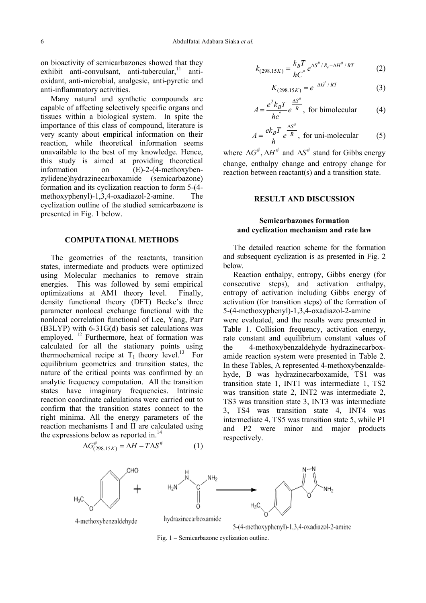on bioactivity of semicarbazones showed that they exhibit anti-convulsant, anti-tubercular,  $11$  antioxidant, anti-microbial, analgesic, anti-pyretic and anti-inflammatory activities.

Many natural and synthetic compounds are capable of affecting selectively specific organs and tissues within a biological system. In spite the importance of this class of compound, literature is very scanty about empirical information on their reaction, while theoretical information seems unavailable to the best of my knowledge. Hence, this study is aimed at providing theoretical information on (E)-2-(4-methoxybenzylidene)hydrazinecarboxamide (semicarbazone) formation and its cyclization reaction to form 5-(4 methoxyphenyl)-1,3,4-oxadiazol-2-amine. The cyclization outline of the studied semicarbazone is presented in Fig. 1 below.

#### **COMPUTATIONAL METHODS**

The geometries of the reactants, transition states, intermediate and products were optimized using Molecular mechanics to remove strain energies. This was followed by semi empirical optimizations at AM1 theory level. Finally, density functional theory (DFT) Becke's three parameter nonlocal exchange functional with the nonlocal correlation functional of Lee, Yang, Parr (B3LYP) with 6-31G(d) basis set calculations was employed. 12 Furthermore, heat of formation was calculated for all the stationary points using thermochemical recipe at  $T_1$  theory level.<sup>13</sup> For equilibrium geometries and transition states, the nature of the critical points was confirmed by an analytic frequency computation. All the transition states have imaginary frequencies. Intrinsic reaction coordinate calculations were carried out to confirm that the transition states connect to the right minima. All the energy parameters of the reaction mechanisms I and II are calculated using the expressions below as reported in. $^{14}$ 

$$
\Delta G_{(298.15K)}^{\#} = \Delta H - T\Delta S^{\#} \tag{1}
$$

CHO

$$
k_{(298.15K)} = \frac{k_B T}{hC} e^{\Delta S^{\#}/R_e - \Delta H^{\#}/RT}
$$
 (2)

$$
K_{(298.15K)} = e^{-\Delta G^{\circ}/RT}
$$
 (3)

$$
A = \frac{e^2 k_B T}{hc} e^{\frac{\Delta S^{\#}}{R}}, \text{ for bimolecular} \qquad (4)
$$

$$
A = \frac{ek_B T}{h} e^{\frac{\Delta S^{\#}}{R}}, \text{ for uni-molecular} \qquad (5)
$$

where  $\Delta G^{\#}$ ,  $\Delta H^{\#}$  and  $\Delta S^{\#}$  stand for Gibbs energy change, enthalpy change and entropy change for reaction between reactant(s) and a transition state.

## **RESULT AND DISCUSSION**

# **Semicarbazones formation and cyclization mechanism and rate law**

The detailed reaction scheme for the formation and subsequent cyclization is as presented in Fig. 2 below.

Reaction enthalpy, entropy, Gibbs energy (for consecutive steps), and activation enthalpy, entropy of activation including Gibbs energy of activation (for transition steps) of the formation of 5-(4-methoxyphenyl)-1,3,4-oxadiazol-2-amine were evaluated, and the results were presented in Table 1. Collision frequency, activation energy, rate constant and equilibrium constant values of the 4-methoxybenzaldehyde–hydrazinecarboxamide reaction system were presented in Table 2. In these Tables, A represented 4-methoxybenzaldehyde, B was hydrazinecarboxamide, TS1 was transition state 1, INT1 was intermediate 1, TS2 was transition state 2, INT2 was intermediate 2, TS3 was transition state 3, INT3 was intermediate 3, TS4 was transition state 4, INT4 was intermediate 4, TS5 was transition state 5, while P1 and P2 were minor and major products respectively.





4-methoxybenzaldehyde

5-(4-methoxyphenyl)-1,3,4-oxadiazol-2-amine

Fig. 1 – Semicarbazone cyclization outline.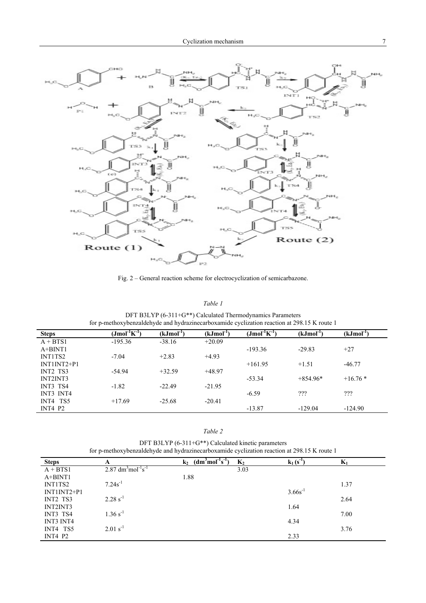

Fig. 2 – General reaction scheme for electrocyclization of semicarbazone.

## *Table 1*

DFT B3LYP (6-311+G\*\*) Calculated Thermodynamics Parameters for p-methoxybenzaldehyde and hydrazinecarboxamide cyclization reaction at 298.15 K route 1

| <b>Steps</b>                     | $({\rm Jmol}^{-1}{\rm K}^{-1})$ | $(kJmol-1)$ | $(kJmol-1)$ | $(Jmol-1K-1)$ | $(kJmol-1)$ | $(kJmol-1)$ |
|----------------------------------|---------------------------------|-------------|-------------|---------------|-------------|-------------|
| $A + BTS1$                       | $-195.36$                       | $-38.16$    | $+20.09$    |               |             |             |
| $A+BINT1$                        |                                 |             |             | $-193.36$     | $-29.83$    | $+27$       |
| INT1TS2                          | $-7.04$                         | $+2.83$     | $+4.93$     |               |             |             |
| $INT1INT2+P1$                    |                                 |             |             | $+161.95$     | $+1.51$     | $-46.77$    |
| INT <sub>2</sub> TS <sub>3</sub> | $-54.94$                        | $+32.59$    | $+48.97$    |               |             |             |
| INT2INT3                         |                                 |             |             | $-53.34$      | $+854.96*$  | $+16.76*$   |
| INT3 TS4                         | $-1.82$                         | $-22.49$    | $-21.95$    |               |             |             |
| INT3 INT4                        |                                 |             |             | $-6.59$       | ???         | ???         |
| INT4 TS5                         | $+17.69$                        | $-25.68$    | $-20.41$    |               |             |             |
| $INT4$ $P2$                      |                                 |             |             | $-13.87$      | $-129.04$   | $-124.90$   |
|                                  |                                 |             |             |               |             |             |

| ani |  |
|-----|--|
|     |  |

DFT B3LYP (6-311+G\*\*) Calculated kinetic parameters for p-methoxybenzaldehyde and hydrazinecarboxamide cyclization reaction at 298.15 K route 1

| <b>Steps</b>                     | A                  | $(dm3 mol-1s-1)$<br>$\mathbf{k}_2$ | $K_2$ | $k_1(s^{-1})$ | $K_1$ |
|----------------------------------|--------------------|------------------------------------|-------|---------------|-------|
| $A + BTS1$                       | 2.87 $dm3mol-1s-1$ |                                    | 3.03  |               |       |
| $A+BINT1$                        |                    | 1.88                               |       |               |       |
| INT1TS2                          | $7.24s-1$          |                                    |       |               | 1.37  |
| $INT1INT2+P1$                    |                    |                                    |       | $3.66s^{-1}$  |       |
| INT <sub>2</sub> TS <sub>3</sub> | $2.28 s^{-1}$      |                                    |       |               | 2.64  |
| INT2INT3                         |                    |                                    |       | 1.64          |       |
| INT3 TS4                         | $1.36 s^{-1}$      |                                    |       |               | 7.00  |
| INT3 INT4                        |                    |                                    |       | 4.34          |       |
| INT4 TS5                         | $2.01 s^{-1}$      |                                    |       |               | 3.76  |
| INT4 P2                          |                    |                                    |       | 2.33          |       |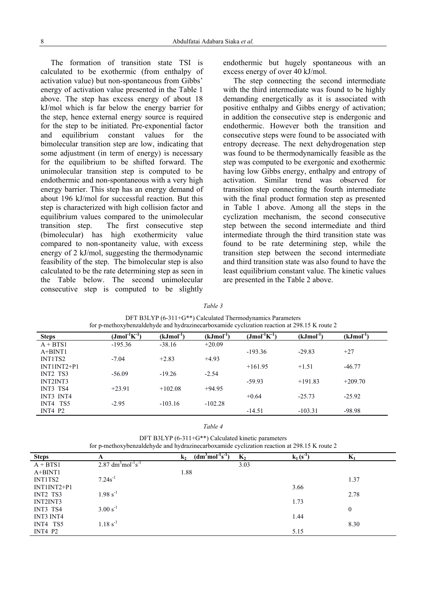The formation of transition state TSI is calculated to be exothermic (from enthalpy of activation value) but non-spontaneous from Gibbs' energy of activation value presented in the Table 1 above. The step has excess energy of about 18 kJ/mol which is far below the energy barrier for the step, hence external energy source is required for the step to be initiated. Pre-exponential factor and equilibrium constant values for the bimolecular transition step are low, indicating that some adjustment (in term of energy) is necessary for the equilibrium to be shifted forward. The unimolecular transition step is computed to be endothermic and non-spontaneous with a very high energy barrier. This step has an energy demand of about 196 kJ/mol for successful reaction. But this step is characterized with high collision factor and equilibrium values compared to the unimolecular transition step. The first consecutive step (bimolecular) has high exothermicity value compared to non-spontaneity value, with excess energy of 2 kJ/mol, suggesting the thermodynamic feasibility of the step. The bimolecular step is also calculated to be the rate determining step as seen in the Table below. The second unimolecular consecutive step is computed to be slightly

endothermic but hugely spontaneous with an excess energy of over 40 kJ/mol.

The step connecting the second intermediate with the third intermediate was found to be highly demanding energetically as it is associated with positive enthalpy and Gibbs energy of activation; in addition the consecutive step is endergonic and endothermic. However both the transition and consecutive steps were found to be associated with entropy decrease. The next dehydrogenation step was found to be thermodynamically feasible as the step was computed to be exergonic and exothermic having low Gibbs energy, enthalpy and entropy of activation. Similar trend was observed for transition step connecting the fourth intermediate with the final product formation step as presented in Table 1 above. Among all the steps in the cyclization mechanism, the second consecutive step between the second intermediate and third intermediate through the third transition state was found to be rate determining step, while the transition step between the second intermediate and third transition state was also found to have the least equilibrium constant value. The kinetic values are presented in the Table 2 above.

|                                   | for p-methoxybenzaldehyde and hydrazinecarboxamide cyclization reaction at 298.15 K route 2 |             |             | Dr T DJL II (0-JII Q) Daicalaich Thermonymannes I alameters |             |             |
|-----------------------------------|---------------------------------------------------------------------------------------------|-------------|-------------|-------------------------------------------------------------|-------------|-------------|
| <b>Steps</b>                      | $(Jmol-1K-1)$                                                                               | $(kJmol-1)$ | $(kJmol-1)$ | $\rm (J mol^{-1} K^{-1})$                                   | $(kJmol-1)$ | $(kJmol-1)$ |
| $A + BTS1$                        | $-195.36$                                                                                   | $-38.16$    | $+20.09$    |                                                             |             |             |
| $A+BINT1$                         |                                                                                             |             |             | $-193.36$                                                   | $-29.83$    | $+27$       |
| INT1TS2                           | $-7.04$                                                                                     | $+2.83$     | $+4.93$     |                                                             |             |             |
| $INT1INT2+P1$                     |                                                                                             |             |             | $+161.95$                                                   | $+1.51$     | $-46.77$    |
| INT <sub>2</sub> T <sub>S</sub> 3 | $-56.09$                                                                                    | $-19.26$    | $-2.54$     |                                                             |             |             |
| INT2INT3                          |                                                                                             |             |             | $-59.93$                                                    | $+191.83$   | $+209.70$   |
| INT3 TS4                          | $+23.91$                                                                                    | $+102.08$   | $+94.95$    |                                                             |             |             |
| INT3 INT4                         |                                                                                             |             |             | $+0.64$                                                     | $-25.73$    | $-25.92$    |
| INT4 TS5                          | $-2.95$                                                                                     | $-103.16$   | $-102.28$   |                                                             |             |             |
| INT4 P2                           |                                                                                             |             |             | $-14.51$                                                    | $-103.31$   | $-98.98$    |

*Table 3*  DET B3LYP (6-311+G\*\*) Calculated Thermodynamics Parameters

|  | " |  |  |
|--|---|--|--|
|--|---|--|--|

| DFT B3LYP $(6-311+G^{**})$ Calculated kinetic parameters                                    |
|---------------------------------------------------------------------------------------------|
| for p-methoxybenzaldehyde and hydrazinecarboxamide cyclization reaction at 298.15 K route 2 |

| <b>Steps</b>  | A                  | $(dm3mol-1s-1)$<br>$\mathbf{k}_2$ | $K_2$ | $k_1(s^{-1})$ | $\mathbf{N}_1$ |
|---------------|--------------------|-----------------------------------|-------|---------------|----------------|
| $A + BTS1$    | 2.87 $dm3mol-1s-1$ |                                   | 3.03  |               |                |
| $A+BINT1$     |                    | 1.88                              |       |               |                |
| INT1TS2       | $7.24s^{-1}$       |                                   |       |               | 1.37           |
| $INT1INT2+P1$ |                    |                                   |       | 3.66          |                |
| INT2 TS3      | $1.98 s^{-1}$      |                                   |       |               | 2.78           |
| INT2INT3      |                    |                                   |       | 1.73          |                |
| INT3 TS4      | $3.00 s^{-1}$      |                                   |       |               | $\mathbf{0}$   |
| INT3 INT4     |                    |                                   |       | 1.44          |                |
| INT4 TS5      | $1.18 s^{-1}$      |                                   |       |               | 8.30           |
| INT4 P2       |                    |                                   |       | 5.15          |                |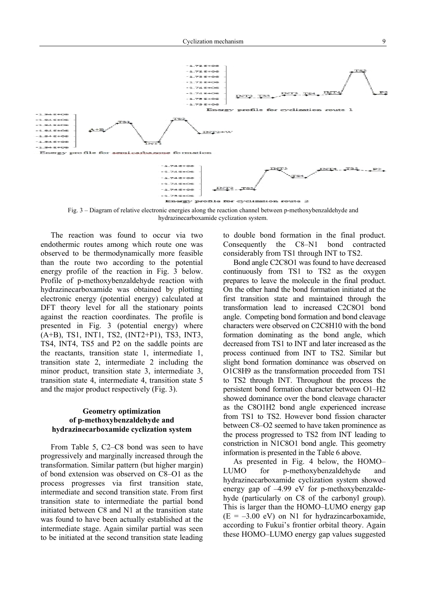

Fig. 3 – Diagram of relative electronic energies along the reaction channel between p-methoxybenzaldehyde and hydrazinecarboxamide cyclization system.

The reaction was found to occur via two endothermic routes among which route one was observed to be thermodynamically more feasible than the route two according to the potential energy profile of the reaction in Fig. 3 below. Profile of p-methoxybenzaldehyde reaction with hydrazinecarboxamide was obtained by plotting electronic energy (potential energy) calculated at DFT theory level for all the stationary points against the reaction coordinates. The profile is presented in Fig. 3 (potential energy) where (A+B), TS1, INT1, TS2, (INT2+P1), TS3, INT3, TS4, INT4, TS5 and P2 on the saddle points are the reactants, transition state 1, intermediate 1, transition state 2, intermediate 2 including the minor product, transition state 3, intermediate 3, transition state 4, intermediate 4, transition state 5 and the major product respectively (Fig. 3).

## **Geometry optimization of p-methoxybenzaldehyde and hydrazinecarboxamide cyclization system**

From Table 5, C2–C8 bond was seen to have progressively and marginally increased through the transformation. Similar pattern (but higher margin) of bond extension was observed on C8–O1 as the process progresses via first transition state, intermediate and second transition state. From first transition state to intermediate the partial bond initiated between C8 and N1 at the transition state was found to have been actually established at the intermediate stage. Again similar partial was seen to be initiated at the second transition state leading to double bond formation in the final product. Consequently the C8–N1 bond contracted considerably from TS1 through INT to TS2.

Bond angle C2C8O1 was found to have decreased continuously from TS1 to TS2 as the oxygen prepares to leave the molecule in the final product. On the other hand the bond formation initiated at the first transition state and maintained through the transformation lead to increased C2C8O1 bond angle. Competing bond formation and bond cleavage characters were observed on C2C8H10 with the bond formation dominating as the bond angle, which decreased from TS1 to INT and later increased as the process continued from INT to TS2. Similar but slight bond formation dominance was observed on O1C8H9 as the transformation proceeded from TS1 to TS2 through INT. Throughout the process the persistent bond formation character between O1–H2 showed dominance over the bond cleavage character as the C8O1H2 bond angle experienced increase from TS1 to TS2. However bond fission character between C8–O2 seemed to have taken prominence as the process progressed to TS2 from INT leading to constriction in N1C8O1 bond angle. This geometry information is presented in the Table 6 above.

As presented in Fig. 4 below, the HOMO– LUMO for p-methoxybenzaldehyde and hydrazinecarboxamide cyclization system showed energy gap of –4.99 eV for p-methoxybenzaldehyde (particularly on C8 of the carbonyl group). This is larger than the HOMO–LUMO energy gap  $(E = -3.00 \text{ eV})$  on N1 for hydrazincarboxamide, according to Fukui's frontier orbital theory. Again these HOMO–LUMO energy gap values suggested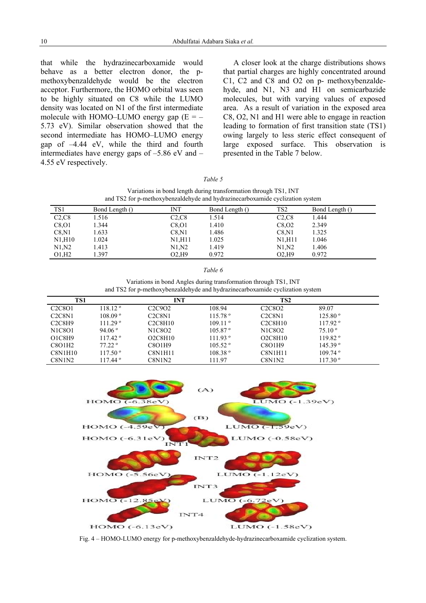that while the hydrazinecarboxamide would behave as a better electron donor, the pmethoxybenzaldehyde would be the electron acceptor. Furthermore, the HOMO orbital was seen to be highly situated on C8 while the LUMO density was located on N1 of the first intermediate molecule with HOMO–LUMO energy gap  $(E = -$ 5.73 eV). Similar observation showed that the second intermediate has HOMO–LUMO energy gap of –4.44 eV, while the third and fourth intermediates have energy gaps of –5.86 eV and – 4.55 eV respectively.

A closer look at the charge distributions shows that partial charges are highly concentrated around C1, C2 and C8 and O2 on p- methoxybenzaldehyde, and N1, N3 and H1 on semicarbazide molecules, but with varying values of exposed area. As a result of variation in the exposed area C8, O2, N1 and H1 were able to engage in reaction leading to formation of first transition state (TS1) owing largely to less steric effect consequent of large exposed surface. This observation is presented in the Table 7 below.

#### *Table 5*

| Variations in bond length during transformation through TS1, INT              |
|-------------------------------------------------------------------------------|
| and TS2 for p-methoxybenzaldehyde and hydrazinecarboxamide cyclization system |

| TS1     | Bond Length () | INT    | Bond Length () | TS2    | Bond Length () |
|---------|----------------|--------|----------------|--------|----------------|
| C2, C8  | 1.516          | C2,C8  | 1.514          | C2,C8  | 1.444          |
| C8, O1  | l.344          | C8, O1 | 1.410          | C8, O2 | 2.349          |
| C8, N1  | .633           | C8, N1 | 1.486          | C8, N1 | 1.325          |
| N1, H10 | 1.024          | N1,H11 | 1.025          | N1,H11 | 1.046          |
| N1,N2   | .413           | N1,N2  | 1.419          | N1, N2 | 1.406          |
| O1, H2  | .397           | O2.H9  | 0.972          | O2.H9  | 0.972          |
|         |                |        |                |        |                |

*Table 6* 

Variations in bond Angles during transformation through TS1, INT and TS2 for p-methoxybenzaldehyde and hydrazinecarboxamide cyclization system

| TS1                                          |                    | <b>INT</b>                                    |                  | TS <sub>2</sub>                               |                  |  |
|----------------------------------------------|--------------------|-----------------------------------------------|------------------|-----------------------------------------------|------------------|--|
| C <sub>2</sub> C <sub>8</sub> O <sub>1</sub> | 11812°             | C <sub>2</sub> C <sub>9</sub> O <sub>2</sub>  | 108.94           | C <sub>2</sub> C <sub>8</sub> O <sub>2</sub>  | 89.07            |  |
| C <sub>2</sub> C <sub>8</sub> N <sub>1</sub> | 108.09°            | C2C8N1                                        | $115.78^{\circ}$ | C <sub>2</sub> C <sub>8</sub> N <sub>1</sub>  | $125.80^{\circ}$ |  |
| C <sub>2</sub> C <sub>8</sub> H <sub>9</sub> | 111.29°            | C <sub>2</sub> C <sub>8</sub> H <sub>10</sub> | $109.11$ °       | C <sub>2</sub> C <sub>8</sub> H <sub>10</sub> | 11792°           |  |
| N <sub>1</sub> C <sub>8</sub> O <sub>1</sub> | $94.06^{\circ}$    | N1C8O2                                        | 105.87°          | N1C8O2                                        | $75.10^{\circ}$  |  |
| O1C8H9                                       | 117.42°            | O2C8H10                                       | 111.93°          | O <sub>2</sub> C <sub>8</sub> H <sub>10</sub> | 11982°           |  |
| C8O1H2                                       | $77.22$ $^{\circ}$ | C8O1H9                                        | $105.52^{\circ}$ | C8O1H9                                        | 145.39°          |  |
| C8N1H10                                      | $117.50^{\circ}$   | C8N1H11                                       | 108.38°          | <b>C8N1H11</b>                                | $109.74$ °       |  |
| C8N1N2                                       | $117.44^{\circ}$   | C8N1N2                                        | 111.97           | C8N1N2                                        | $117.30^{\circ}$ |  |



Fig. 4 – HOMO-LUMO energy for p-methoxybenzaldehyde-hydrazinecarboxamide cyclization system.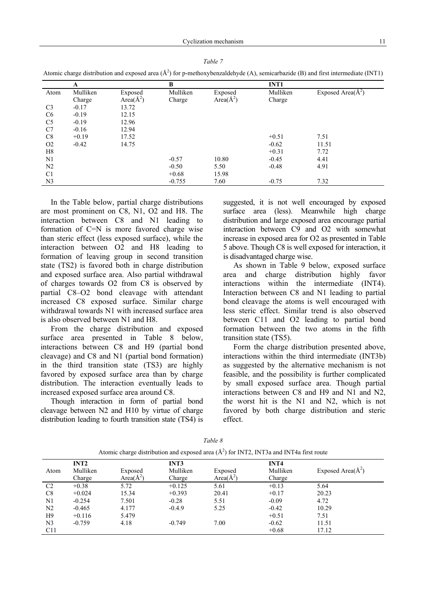|                |          |               |          |               |             | Atomic charge distribution and exposed area (A) for p-methoxybenzatuenyue (A), semicarbaziue (D) and mist methodiate (H) IT) |
|----------------|----------|---------------|----------|---------------|-------------|------------------------------------------------------------------------------------------------------------------------------|
|                | A        |               | B        |               | <b>INT1</b> |                                                                                                                              |
| Atom           | Mulliken | Exposed       | Mulliken | Exposed       | Mulliken    | Exposed Area( $\AA^2$ )                                                                                                      |
|                | Charge   | Area( $A^2$ ) | Charge   | Area( $A^2$ ) | Charge      |                                                                                                                              |
| C <sub>3</sub> | $-0.17$  | 13.72         |          |               |             |                                                                                                                              |
| C <sub>6</sub> | $-0.19$  | 12.15         |          |               |             |                                                                                                                              |
| C <sub>5</sub> | $-0.19$  | 12.96         |          |               |             |                                                                                                                              |
| C7             | $-0.16$  | 12.94         |          |               |             |                                                                                                                              |
| C8             | $+0.19$  | 17.52         |          |               | $+0.51$     | 7.51                                                                                                                         |
| O <sub>2</sub> | $-0.42$  | 14.75         |          |               | $-0.62$     | 11.51                                                                                                                        |
| H8             |          |               |          |               | $+0.31$     | 7.72                                                                                                                         |
| N1             |          |               | $-0.57$  | 10.80         | $-0.45$     | 4.41                                                                                                                         |
| N <sub>2</sub> |          |               | $-0.50$  | 5.50          | $-0.48$     | 4.91                                                                                                                         |
| C <sub>1</sub> |          |               | $+0.68$  | 15.98         |             |                                                                                                                              |
| N <sub>3</sub> |          |               | $-0.755$ | 7.60          | $-0.75$     | 7.32                                                                                                                         |

Atomic charge distribution and exposed area  $(\hat{A}^2)$  for p-methoxybenzaldehyde (A), semicarbazide (B) and first intermediate (INT1)

In the Table below, partial charge distributions are most prominent on C8, N1, O2 and H8. The interaction between C8 and N1 leading to formation of C=N is more favored charge wise than steric effect (less exposed surface), while the interaction between O2 and H8 leading to formation of leaving group in second transition state (TS2) is favored both in charge distribution and exposed surface area. Also partial withdrawal of charges towards O2 from C8 is observed by partial C8–O2 bond cleavage with attendant increased C8 exposed surface. Similar charge withdrawal towards N1 with increased surface area is also observed between N1 and H8.

From the charge distribution and exposed surface area presented in Table 8 below, interactions between C8 and H9 (partial bond cleavage) and C8 and N1 (partial bond formation) in the third transition state (TS3) are highly favored by exposed surface area than by charge distribution. The interaction eventually leads to increased exposed surface area around C8.

Though interaction in form of partial bond cleavage between N2 and H10 by virtue of charge distribution leading to fourth transition state (TS4) is

suggested, it is not well encouraged by exposed surface area (less). Meanwhile high charge distribution and large exposed area encourage partial interaction between C9 and O2 with somewhat increase in exposed area for O2 as presented in Table 5 above. Though C8 is well exposed for interaction, it is disadvantaged charge wise.

As shown in Table 9 below, exposed surface area and charge distribution highly favor interactions within the intermediate (INT4). Interaction between C8 and N1 leading to partial bond cleavage the atoms is well encouraged with less steric effect. Similar trend is also observed between C11 and O2 leading to partial bond formation between the two atoms in the fifth transition state (TS5).

Form the charge distribution presented above, interactions within the third intermediate (INT3b) as suggested by the alternative mechanism is not feasible, and the possibility is further complicated by small exposed surface area. Though partial interactions between C8 and H9 and N1 and N2, the worst hit is the N1 and N2, which is not favored by both charge distribution and steric effect.

| Atom            | INT <sub>2</sub><br>Mulliken | Exposed         | <b>INT3</b><br>Mulliken | Exposed         | INT <sub>4</sub><br>Mulliken | Exposed Area( $A^2$ ) |
|-----------------|------------------------------|-----------------|-------------------------|-----------------|------------------------------|-----------------------|
|                 | Charge                       | Area( $\AA^2$ ) | Charge                  | Area( $\AA^2$ ) | Charge                       |                       |
| C <sub>2</sub>  | $+0.38$                      | 5.72            | $+0.125$                | 5.61            | $+0.13$                      | 5.64                  |
| C8              | $+0.024$                     | 15.34           | $+0.393$                | 20.41           | $+0.17$                      | 20.23                 |
| N1              | $-0.254$                     | 7.501           | $-0.28$                 | 5.51            | $-0.09$                      | 4.72                  |
| N <sub>2</sub>  | $-0.465$                     | 4.177           | $-0.4.9$                | 5.25            | $-0.42$                      | 10.29                 |
| H9              | $+0.116$                     | 5.479           |                         |                 | $+0.51$                      | 7.51                  |
| N3              | $-0.759$                     | 4.18            | $-0.749$                | 7.00            | $-0.62$                      | 11.51                 |
| C <sub>11</sub> |                              |                 |                         |                 | $+0.68$                      | 17.12                 |

*Table 8*  Atomic charge distribution and exposed area  $(A^2)$  for INT2, INT3a and INT4a first route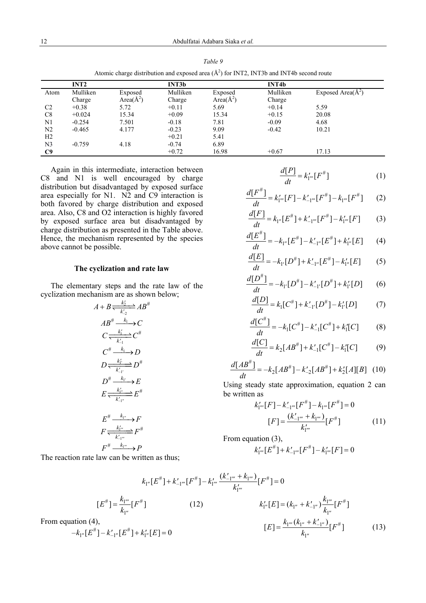*Table 9* 

| Atomic charge distribution and exposed area $(A^2)$ for INT2, INT3b and INT4b second route |          |                 |              |                 |              |                       |  |  |  |
|--------------------------------------------------------------------------------------------|----------|-----------------|--------------|-----------------|--------------|-----------------------|--|--|--|
| INT <sub>2</sub>                                                                           |          |                 | <b>INT3b</b> |                 | <b>INT4b</b> |                       |  |  |  |
| Atom                                                                                       | Mulliken | Exposed         | Mulliken     | Exposed         | Mulliken     | Exposed Area( $A^2$ ) |  |  |  |
|                                                                                            | Charge   | Area( $\AA^2$ ) | Charge       | Area( $\AA^2$ ) | Charge       |                       |  |  |  |
| C <sub>2</sub>                                                                             | $+0.38$  | 5.72            | $+0.11$      | 5.69            | $+0.14$      | 5.59                  |  |  |  |
| C8                                                                                         | $+0.024$ | 15.34           | $+0.09$      | 15.34           | $+0.15$      | 20.08                 |  |  |  |
| N1                                                                                         | $-0.254$ | 7.501           | $-0.18$      | 7.81            | $-0.09$      | 4.68                  |  |  |  |
| N <sub>2</sub>                                                                             | $-0.465$ | 4.177           | $-0.23$      | 9.09            | $-0.42$      | 10.21                 |  |  |  |
| H2                                                                                         |          |                 | $+0.21$      | 5.41            |              |                       |  |  |  |
| N <sub>3</sub>                                                                             | $-0.759$ | 4.18            | $-0.74$      | 6.89            |              |                       |  |  |  |
| C9                                                                                         |          |                 | $+0.72$      | 16.98           | $+0.67$      | 17.13                 |  |  |  |

Again in this intermediate, interaction between C8 and N1 is well encouraged by charge distribution but disadvantaged by exposed surface area especially for N1. N2 and C9 interaction is both favored by charge distribution and exposed area. Also, C8 and O2 interaction is highly favored by exposed surface area but disadvantaged by charge distribution as presented in the Table above. Hence, the mechanism represented by the species above cannot be possible.

## **The cyclization and rate law**

The elementary steps and the rate law of the cyclization mechanism are as shown below;

$$
A + B \xrightarrow[k_2]{k_2} AB^{\#}
$$
  
\n
$$
AB^{\#} \xrightarrow[k_1]{k_1} C
$$
  
\n
$$
C \xrightarrow[k_1]{k_1} C^{\#}
$$
  
\n
$$
C^{\#} \xrightarrow[k_1]{k_1} D
$$
  
\n
$$
D \xrightarrow[k_1]{k_1} D^{\#}
$$
  
\n
$$
D^{\#} \xrightarrow[k_1]{k_1} E
$$
  
\n
$$
E \xrightarrow[k_1]{k_1} E^{\#}
$$
  
\n
$$
E^{\#} \xrightarrow[k_1]{k_1} F^{\#}
$$
  
\n
$$
F^{\#} \xrightarrow[k_1]{k_1} F^{\#}
$$
  
\n
$$
F^{\#} \xrightarrow[k_1]{k_1} P
$$

The reaction rate law can be written as thus;

$$
[E^{\#}] = \frac{k_{1'''}}{k_{1''}} [F^{\#}]
$$
 (12)

From equation (4),

$$
-k_{1''}[E^{\#}]-k'_{-1''}[E^{\#}]+k'_{1''}[E]=0
$$

$$
\frac{d[P]}{dt} = k'_{1'''}[F^*]
$$
 (1)

$$
\frac{d[F^{\#}]}{dt} = k'_{1'''}[F] - k'_{-1'''}[F^{\#}] - k_{1'''}[F^{\#}] \qquad (2)
$$

$$
\frac{d[F]}{dt} = k_{1''}[E^{\#}] + k'_{-1'''}[F^{\#}] - k'_{1'''}[F] \tag{3}
$$

$$
\frac{d[E^{\#}]}{dt} = -k_{1''}[E^{\#}]-k'_{-1''}[E^{\#}]+k'_{1''}[E] \qquad (4)
$$

$$
\frac{d[E]}{dt} = -k_{1'}[D^{\#}] + k'_{-1''}[E^{\#}] - k'_{1''}[E] \tag{5}
$$

$$
\frac{d[D^{\#}]}{dt} = -k_{1'}[D^{\#}]-k'_{-1'}[D^{\#}]+k'_{1'}[D] \qquad (6)
$$

$$
\frac{d[D]}{dt} = k_1 [C^{\#}] + k'_{-1'} [D^{\#}] - k'_{1'} [D]
$$
 (7)

$$
\frac{d[C^{\#}]}{dt} = -k_1[C^{\#}] - k'_{-1}[C^{\#}] + k'_1[C] \tag{8}
$$

$$
\frac{d[C]}{dt} = k_2[AB^{\#}] + k'_{-1}[C^{\#}] - k'_1[C]
$$
(9)

$$
\frac{d[AB^{\#}]}{dt} = -k_2[AB^{\#}]-k_2'[AB^{\#}]+k_2'[A][B]
$$
 (10)

Using steady state approximation, equation 2 can be written as

$$
k'_{1'''}[F] - k'_{-1'''}[F^*] - k_{1'''}[F^*'] = 0
$$
  

$$
[F] = \frac{(k'_{-1'''} + k_{1'''})}{k'_{1''}}[F^*]
$$
 (11)

From equation (3),

$$
k'_{1'''}[E^{\#}]+k'_{-1'''}[F^{\#}]-k'_{1'''}[F]=0
$$

$$
k_{1}^{''}[E^{\#}] + k'_{-1}^{''}[F^{\#}] - k'_{1}^{''}\frac{(k'_{-1}^{''} + k_{1}^{''})}{k'_{1}^{''}}[F^{\#}] = 0
$$
  
\n
$$
k'_{1}^{''}[E] = (k_{1}^{''} + k'_{-1}^{''})\frac{k_{1}^{''}}{k_{1}^{''}}[F^{\#}]
$$
  
\n
$$
k'_{1}^{''}[E] = 0
$$
  
\n
$$
k'_{1}^{''}[E] = 0
$$
  
\n
$$
k'_{1}^{''}[E] = 0
$$
  
\n
$$
k'_{1}^{''}[E] = 0
$$
  
\n
$$
k'_{1}^{''}[E] = 0
$$
  
\n
$$
k'_{1}^{''}[E] = 0
$$
  
\n
$$
k'_{1}^{''}[E] = 0
$$
  
\n
$$
k'_{1}^{''}[E] = 0
$$
  
\n
$$
k'_{1}^{''}[E] = 0
$$
  
\n
$$
k'_{1}^{''}[E] = 0
$$
  
\n
$$
k'_{1}^{''}[E] = 0
$$
  
\n
$$
k'_{1}^{''}[E] = 0
$$
  
\n
$$
k'_{1}^{''}[E] = 0
$$
  
\n
$$
k'_{1}^{''}[E] = 0
$$
  
\n
$$
k'_{1}^{''}[E] = 0
$$
  
\n
$$
k'_{1}^{''}[E] = 0
$$
  
\n
$$
k'_{1}^{''}[E] = 0
$$
  
\n
$$
k'_{1}^{''}[E] = 0
$$
  
\n
$$
k'_{1}^{''}[E] = 0
$$
  
\n
$$
k'_{1}^{''}[E] = 0
$$
  
\n
$$
k'_{1}^{''}[E] = 0
$$
  
\n
$$
k'_{1}^{''}[E] = 0
$$
  
\n
$$
k'_{1}^{''}[E] = 0
$$
  
\n
$$
k'_{1}^{''}[E] = 0
$$
  
\n
$$
k'_{1}^{''}[E]
$$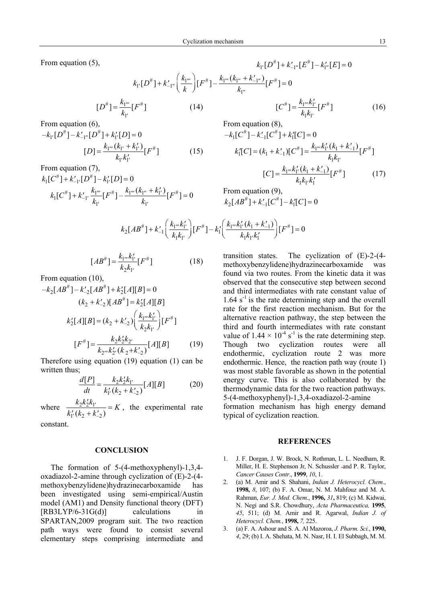From equation  $(5)$ ,

$$
k_{1'}[D^{\#}] + k'_{-1''}\left(\frac{k_{1'''}}{k}\right)[F^{\#}] - \frac{k_{1'''}(k_{1''} + k'_{-1''})}{k_{1''}}[F^{\#}] = 0
$$
  
[ $D^{\#}] = \frac{k_{1'''}}{k_{1'}}[F^{\#}]$  (14)

From equation (6).

$$
-k_{1'}[D^{\#}] - k'_{-1''}[D^{\#}] + k'_{1'}[D] = 0
$$

$$
[D] = \frac{k_{1'''}(k_{1'} + k'_{1'})}{k_{1'}k'_{1'}}[F^{\#}]
$$
(15)

1

′

From equation (7),

$$
k_1[C^{\#}] + k'_{-1'}[D^{\#}] - k'_{1'}[D] = 0
$$
  

$$
k_1[C^{\#}] + k'_{-1'} \frac{k_{1''}}{k_{1'}}[F^{\#}] - \frac{k_{1'''}(k_{1''} + k'_{1'})}{k_{1'}}[F^{\#}] = 0
$$

$$
k_{1'}[D^{\#}] + k'_{-1''}[E^{\#}] - k'_{1''}[E] = 0
$$
  

$$
k'_{-1''} [F^{\#}] = 0
$$

$$
[C^{\#}] = \frac{k_{1'''}k'_{1'}}{k_1k_{1'}}[F^{\#}]
$$
 (16)

From equation  $(8)$ ,

$$
-k_1[C^{\#}] - k'_{-1}[C^{\#}] + k'_1[C] = 0
$$
  
\n
$$
k'_1[C] = (k_1 + k'_{-1})[C^{\#}] = \frac{k_1 \cdots k'_1(k_1 + k'_{-1})}{k_1 k_1} [F^{\#}]
$$
  
\n
$$
[C] = \frac{k_1 \cdots k'_1(k_1 + k'_{-1})}{k_1 k_1 k'_1} [F^{\#}]
$$
 (17)

From equation  $(9)$ ,  $k_2[AB^{\#}]+k_{-1}^{\prime}[C^{\#}]-k_1^{\prime}[C]=0$ 

$$
k_2[AB^{\#}] + k'_{-1} \left( \frac{k_{1'''}k'_{1'}}{k_1k_{1'}} \right)[F^{\#}] - k'_1 \left( \frac{k_{1'''}k'_{1'}(k_1 + k'_{-1})}{k_1k_{1'}k'_{1}} \right)[F^{\#}] = 0
$$

$$
[AB^{\#}] = \frac{k_{1'''}k'_{1'}}{k_2k_{1'}}[F^{\#}]
$$
 (18)

From equation (10),

$$
-k_{2}[AB^{\#}] - k'_{-2}[AB^{\#}] + k'_{2}[A][B] = 0
$$
  
\n
$$
(k_{2} + k'_{-2})[AB^{\#}] = k'_{2}[A][B]
$$
  
\n
$$
k'_{2}[A][B] = (k_{2} + k'_{-2}) \left(\frac{k_{1}^{m}k'_{1}}{k_{2}k_{1}}\right)[F^{\#}]
$$
  
\n
$$
[F^{\#}] = \frac{k_{2}k'_{2}k_{2}}{k_{2}^{m}k'_{2}(k_{2} + k'_{-2})}[A][B]
$$
 (19)

Therefore using equation (19) equation (1) can be written thus;

$$
\frac{d[P]}{dt} = \frac{k_2 k_2' k_{1'}}{k_{1'}'(k_2 + k_{-2}')} [A][B] \tag{20}
$$

where  $\frac{\kappa_2 \kappa_2 \kappa_1}{\kappa_2 \kappa_1}$  $t'_{1'}(k_2 + k'_{-2})$  $\frac{k_2 k'_2 k_1}{k_2 k_2 k_1} = K$  $k'_{1'}(k_2 + k)$ ′  $rac{k_2k'_2k_{1'}}{k_1'(k_2+k'_{2})} = K$ , the experimental rate

constant.

## **CONCLUSION**

The formation of 5-(4-methoxyphenyl)-1,3,4 oxadiazol-2-amine through cyclization of (E)-2-(4 methoxybenzylidene)hydrazinecarboxamide has been investigated using semi-empirical/Austin model (AM1) and Density functional theory (DFT) [RB3LYP/6-31G(d)] calculations in SPARTAN,2009 program suit. The two reaction path ways were found to consist several elementary steps comprising intermediate and transition states. The cyclization of (E)-2-(4 methoxybenzylidene)hydrazinecarboxamide was found via two routes. From the kinetic data it was observed that the consecutive step between second and third intermediates with rate constant value of  $1.64$  s<sup>-1</sup> is the rate determining step and the overall rate for the first reaction mechanism. But for the alternative reaction pathway, the step between the third and fourth intermediates with rate constant value of  $1.44 \times 10^{-4}$  s<sup>-1</sup> is the rate determining step. Though two cyclization routes were all endothermic, cyclization route 2 was more endothermic. Hence, the reaction path way (route 1) was most stable favorable as shown in the potential energy curve. This is also collaborated by the thermodynamic data for the two reaction pathways. 5-(4-methoxyphenyl)-1,3,4-oxadiazol-2-amine formation mechanism has high energy demand

#### **REFERENCES**

typical of cyclization reaction.

- 1. J. F. Dorgan, J. W. Brock, N. Rothman, L. L. Needham, R. Miller, H. E. Stephenson Jr, N. Schussler -and P. R. Taylor, *Cancer Causes Contr*., **1999**, *10*, 1.
- 2. (a) M. Amir and S. Shahani, *Indian J. Heterocycl. Chem*., **1998,** *8*, 107; (b) F. A. Omar, N. M. Mahfouz and M. A. Rahman, *Eur. J. Med. Chem*., **1996,** *31***,** 819; (c) M. Kidwai, N. Negi and S.R. Chowdhury, *Acta Pharmaceutica,* **1995**, *45*, 511; (d) M. Amir and R. Agarwal, *Indian J. of Heterocycl. Chem.*, **1998,** *7,* 225.
- 3. (a) F. A. Ashour and S. A. Al Mazoroa, *J. Pharm. Sci.*, **1990,** *4*, 29; (b) I. A. Shehata, M. N. Nasr, H. I. El Subbagh, M. M.